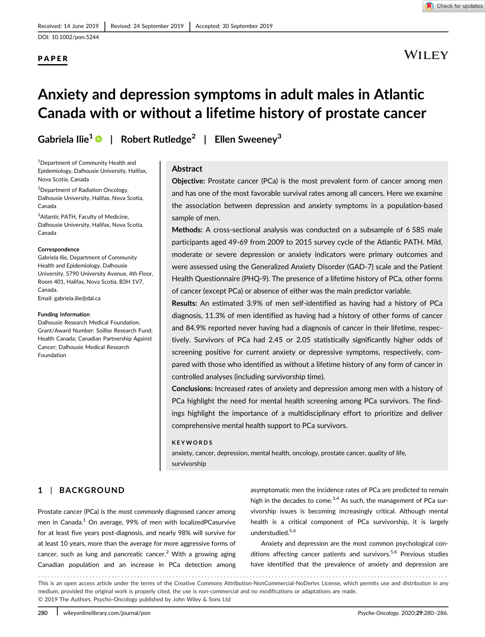PAPER

## **WILEY**

# Anxiety and depression symptoms in adult males in Atlantic Canada with or without a lifetime history of prostate cancer

Gabriela Ilie<sup>1</sup>  $\bullet$  | Robert Rutledge<sup>2</sup> | Ellen Sweeney<sup>3</sup>

<sup>1</sup>Department of Community Health and Epidemiology, Dalhousie University, Halifax, Nova Scotia, Canada

2 Department of Radiation Oncology, Dalhousie University, Halifax, Nova Scotia, Canada

<sup>3</sup>Atlantic PATH, Faculty of Medicine, Dalhousie University, Halifax, Nova Scotia, Canada

#### **Correspondence**

Gabriela Ilie, Department of Community Health and Epidemiology, Dalhousie University, 5790 University Avenue, 4th Floor, Room 401, Halifax, Nova Scotia, B3H 1V7, Canada. Email: [gabriela.ilie@dal.ca](mailto:gabriela.ilie@dal.ca)

#### Funding information

Dalhousie Research Medical Foundation, Grant/Award Number: Soillse Research Fund; Health Canada; Canadian Partnership Against Cancer; Dalhousie Medical Research Foundation

## Abstract

Objective: Prostate cancer (PCa) is the most prevalent form of cancer among men and has one of the most favorable survival rates among all cancers. Here we examine the association between depression and anxiety symptoms in a population-based sample of men.

Methods: A cross-sectional analysis was conducted on a subsample of 6 585 male participants aged 49-69 from 2009 to 2015 survey cycle of the Atlantic PATH. Mild, moderate or severe depression or anxiety indicators were primary outcomes and were assessed using the Generalized Anxiety Disorder (GAD-7) scale and the Patient Health Questionnaire (PHQ-9). The presence of a lifetime history of PCa, other forms of cancer (except PCa) or absence of either was the main predictor variable.

Results: An estimated 3.9% of men self-identified as having had a history of PCa diagnosis, 11.3% of men identified as having had a history of other forms of cancer and 84.9% reported never having had a diagnosis of cancer in their lifetime, respectively. Survivors of PCa had 2.45 or 2.05 statistically significantly higher odds of screening positive for current anxiety or depressive symptoms, respectively, compared with those who identified as without a lifetime history of any form of cancer in controlled analyses (including survivorship time).

Conclusions: Increased rates of anxiety and depression among men with a history of PCa highlight the need for mental health screening among PCa survivors. The findings highlight the importance of a multidisciplinary effort to prioritize and deliver comprehensive mental health support to PCa survivors.

#### KEYWORDS

anxiety, cancer, depression, mental health, oncology, prostate cancer, quality of life, survivorship

## 1 | BACKGROUND

Prostate cancer (PCa) is the most commonly diagnosed cancer among men in Canada.<sup>1</sup> On average, 99% of men with localizedPCasurvive for at least five years post-diagnosis, and nearly 98% will survive for at least 10 years, more than the average for more aggressive forms of cancer, such as lung and pancreatic cancer.<sup>2</sup> With a growing aging Canadian population and an increase in PCa detection among

asymptomatic men the incidence rates of PCa are predicted to remain high in the decades to come.<sup>3,4</sup> As such, the management of PCa survivorship issues is becoming increasingly critical. Although mental health is a critical component of PCa survivorship, it is largely understudied.<sup>5,6</sup>

Anxiety and depression are the most common psychological conditions affecting cancer patients and survivors.<sup>5,6</sup> Previous studies have identified that the prevalence of anxiety and depression are

------------------------------------------------------------------------------------------------------------------------------- - This is an open access article under the terms of the [Creative Commons Attribution](http://creativecommons.org/licenses/by-nc-nd/4.0/)-NonCommercial-NoDerivs License, which permits use and distribution in any medium, provided the original work is properly cited, the use is non‐commercial and no modifications or adaptations are made. © 2019 The Authors. Psycho‐Oncology published by John Wiley & Sons Ltd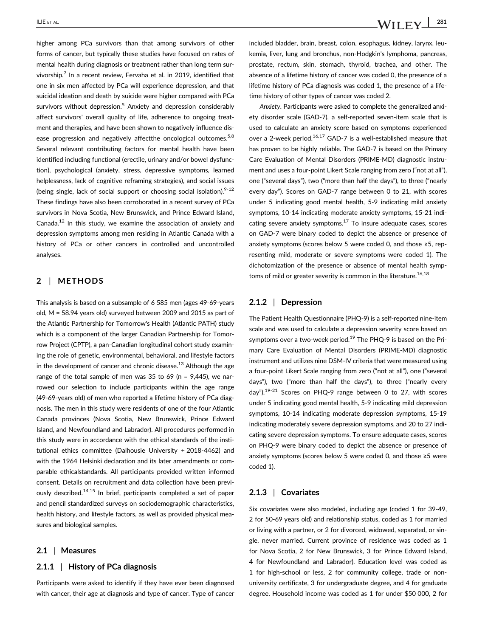higher among PCa survivors than that among survivors of other forms of cancer, but typically these studies have focused on rates of mental health during diagnosis or treatment rather than long term survivorship.<sup>7</sup> In a recent review, Fervaha et al. in 2019, identified that one in six men affected by PCa will experience depression, and that suicidal ideation and death by suicide were higher compared with PCa survivors without depression.<sup>5</sup> Anxiety and depression considerably affect survivors' overall quality of life, adherence to ongoing treatment and therapies, and have been shown to negatively influence disease progression and negatively affectthe oncological outcomes.<sup>5,8</sup> Several relevant contributing factors for mental health have been identified including functional (erectile, urinary and/or bowel dysfunction), psychological (anxiety, stress, depressive symptoms, learned helplessness, lack of cognitive reframing strategies), and social issues (being single, lack of social support or choosing social isolation). $9-12$ These findings have also been corroborated in a recent survey of PCa survivors in Nova Scotia, New Brunswick, and Prince Edward Island, Canada.<sup>12</sup> In this study, we examine the association of anxiety and depression symptoms among men residing in Atlantic Canada with a history of PCa or other cancers in controlled and uncontrolled analyses.

## 2 | METHODS

This analysis is based on a subsample of 6 585 men (ages 49-69-years old, M = 58.94 years old) surveyed between 2009 and 2015 as part of the Atlantic Partnership for Tomorrow's Health (Atlantic PATH) study which is a component of the larger Canadian Partnership for Tomorrow Project (CPTP), a pan-Canadian longitudinal cohort study examining the role of genetic, environmental, behavioral, and lifestyle factors in the development of cancer and chronic disease.<sup>13</sup> Although the age range of the total sample of men was 35 to 69 (n =  $9,445$ ), we narrowed our selection to include participants within the age range (49-69-years old) of men who reported a lifetime history of PCa diagnosis. The men in this study were residents of one of the four Atlantic Canada provinces (Nova Scotia, New Brunswick, Prince Edward Island, and Newfoundland and Labrador). All procedures performed in this study were in accordance with the ethical standards of the institutional ethics committee (Dalhousie University + 2018-4462) and with the 1964 Helsinki declaration and its later amendments or comparable ethicalstandards. All participants provided written informed consent. Details on recruitment and data collection have been previously described.<sup>14,15</sup> In brief, participants completed a set of paper and pencil standardized surveys on sociodemographic characteristics, health history, and lifestyle factors, as well as provided physical measures and biological samples.

#### 2.1 | Measures

## 2.1.1 | History of PCa diagnosis

Participants were asked to identify if they have ever been diagnosed with cancer, their age at diagnosis and type of cancer. Type of cancer included bladder, brain, breast, colon, esophagus, kidney, larynx, leukemia, liver, lung and bronchus, non-Hodgkin's lymphoma, pancreas, prostate, rectum, skin, stomach, thyroid, trachea, and other. The absence of a lifetime history of cancer was coded 0, the presence of a lifetime history of PCa diagnosis was coded 1, the presence of a lifetime history of other types of cancer was coded 2.

Anxiety. Participants were asked to complete the generalized anxiety disorder scale (GAD-7), a self-reported seven-item scale that is used to calculate an anxiety score based on symptoms experienced over a 2-week period.<sup>16,17</sup> GAD-7 is a well-established measure that has proven to be highly reliable. The GAD-7 is based on the Primary Care Evaluation of Mental Disorders (PRIME-MD) diagnostic instrument and uses a four-point Likert Scale ranging from zero ("not at all"), one ("several days"), two ("more than half the days"), to three ("nearly every day"). Scores on GAD-7 range between 0 to 21, with scores under 5 indicating good mental health, 5-9 indicating mild anxiety symptoms, 10-14 indicating moderate anxiety symptoms, 15-21 indicating severe anxiety symptoms. $17$  To insure adequate cases, scores on GAD-7 were binary coded to depict the absence or presence of anxiety symptoms (scores below 5 were coded 0, and those ≥5, representing mild, moderate or severe symptoms were coded 1). The dichotomization of the presence or absence of mental health symptoms of mild or greater severity is common in the literature.<sup>16,18</sup>

## 2.1.2 | Depression

The Patient Health Questionnaire (PHQ-9) is a self-reported nine-item scale and was used to calculate a depression severity score based on symptoms over a two-week period.<sup>19</sup> The PHQ-9 is based on the Primary Care Evaluation of Mental Disorders (PRIME-MD) diagnostic instrument and utilizes nine DSM-IV criteria that were measured using a four-point Likert Scale ranging from zero ("not at all"), one ("several days"), two ("more than half the days"), to three ("nearly every  $day''$ ).<sup>19-21</sup> Scores on PHQ-9 range between 0 to 27, with scores under 5 indicating good mental health, 5-9 indicating mild depression symptoms, 10-14 indicating moderate depression symptoms, 15-19 indicating moderately severe depression symptoms, and 20 to 27 indicating severe depression symptoms. To ensure adequate cases, scores on PHQ-9 were binary coded to depict the absence or presence of anxiety symptoms (scores below 5 were coded 0, and those ≥5 were coded 1).

#### 2.1.3 | Covariates

Six covariates were also modeled, including age (coded 1 for 39-49, 2 for 50-69 years old) and relationship status, coded as 1 for married or living with a partner, or 2 for divorced, widowed, separated, or single, never married. Current province of residence was coded as 1 for Nova Scotia, 2 for New Brunswick, 3 for Prince Edward Island, 4 for Newfoundland and Labrador). Education level was coded as 1 for high-school or less, 2 for community college, trade or nonuniversity certificate, 3 for undergraduate degree, and 4 for graduate degree. Household income was coded as 1 for under \$50 000, 2 for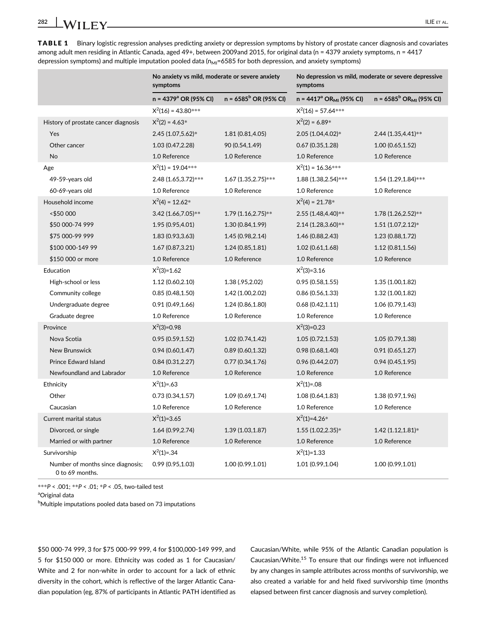TABLE 1 Binary logistic regression analyses predicting anxiety or depression symptoms by history of prostate cancer diagnosis and covariates among adult men residing in Atlantic Canada, aged 49+, between 2009and 2015, for original data (n = 4379 anxiety symptoms, n = 4417 depression symptoms) and multiple imputation pooled data  $(n_{M1}=6585$  for both depression, and anxiety symptoms)

|                                                      | No anxiety vs mild, moderate or severe anxiety<br>symptoms |                         | No depression vs mild, moderate or severe depressive<br>symptoms |                           |
|------------------------------------------------------|------------------------------------------------------------|-------------------------|------------------------------------------------------------------|---------------------------|
|                                                      | n = 4379 <sup>a</sup> OR (95% CI)                          | $n = 6585b$ OR (95% CI) | $n = 4417^a \text{ OR}_{M1}$ (95% CI)                            | $n = 6585b ORMl$ (95% CI) |
|                                                      | $X^2(16) = 43.80***$                                       |                         | $X^2(16) = 57.64***$                                             |                           |
| History of prostate cancer diagnosis                 | $X^2(2) = 4.63*$                                           |                         | $X^2(2) = 6.89*$                                                 |                           |
| Yes                                                  | 2.45 (1.07,5.62)*                                          | 1.81 (0.81,4.05)        | 2.05 (1.04,4.02)*                                                | 2.44 (1.35,4.41)**        |
| Other cancer                                         | 1.03 (0.47,2.28)                                           | 90 (0.54,1.49)          | 0.67(0.35, 1.28)                                                 | 1.00(0.65, 1.52)          |
| <b>No</b>                                            | 1.0 Reference                                              | 1.0 Reference           | 1.0 Reference                                                    | 1.0 Reference             |
| Age                                                  | $X^2(1) = 19.04***$                                        |                         | $X^2(1) = 16.36***$                                              |                           |
| 49-59-years old                                      | 2.48 (1.65,3.72)***                                        | 1.67 (1.35, 2.75)***    | 1.88 (1.38, 2.54)***                                             | $1.54$ (1.29, 1.84)***    |
| 60-69-years old                                      | 1.0 Reference                                              | 1.0 Reference           | 1.0 Reference                                                    | 1.0 Reference             |
| Household income                                     | $X^2(4) = 12.62^*$                                         |                         | $X^2(4) = 21.78*$                                                |                           |
| <\$50 000                                            | 3.42 (1.66,7.05)**                                         | 1.79 (1.16,2.75)**      | 2.55 (1.48,4.40)**                                               | 1.78 (1.26,2.52)**        |
| \$50 000-74 999                                      | 1.95 (0.95,4.01)                                           | 1.30 (0.84,1.99)        | 2.14 (1.28,3.60)**                                               | $1.51(1.07, 2.12)*$       |
| \$75 000-99 999                                      | 1.83 (0.93,3.63)                                           | 1.45 (0.98,2.14)        | 1.46 (0.88, 2.43)                                                | 1.23 (0.88,1.72)          |
| \$100 000-149 99                                     | 1.67 (0.87,3.21)                                           | 1.24(0.85, 1.81)        | 1.02(0.61, 1.68)                                                 | 1.12(0.81, 1.56)          |
| \$150 000 or more                                    | 1.0 Reference                                              | 1.0 Reference           | 1.0 Reference                                                    | 1.0 Reference             |
| Education                                            | $X^2(3)=1.62$                                              |                         | $X^2(3)=3.16$                                                    |                           |
| High-school or less                                  | 1.12 (0.60,2.10)                                           | 1.38 (.95,2.02)         | 0.95(0.58, 1.55)                                                 | 1.35(1.00, 1.82)          |
| Community college                                    | 0.85(0.48, 1.50)                                           | 1.42 (1.00,2.02)        | 0.86(0.56, 1.33)                                                 | 1.32 (1.00,1.82)          |
| Undergraduate degree                                 | 0.91(0.49, 1.66)                                           | 1.24 (0.86,1.80)        | 0.68(0.42, 1.11)                                                 | 1.06 (0.79,1.43)          |
| Graduate degree                                      | 1.0 Reference                                              | 1.0 Reference           | 1.0 Reference                                                    | 1.0 Reference             |
| Province                                             | $X^2(3)=0.98$                                              |                         | $X^2(3)=0.23$                                                    |                           |
| Nova Scotia                                          | 0.95(0.59, 1.52)                                           | 1.02 (0.74,1.42)        | 1.05(0.72, 1.53)                                                 | 1.05 (0.79,1.38)          |
| New Brunswick                                        | 0.94(0.60, 1.47)                                           | 0.89(0.60, 1.32)        | 0.98 (0.68,1.40)                                                 | 0.91(0.65, 1.27)          |
| <b>Prince Edward Island</b>                          | 0.84(0.31, 2.27)                                           | 0.77(0.34, 1.76)        | 0.96(0.44, 2.07)                                                 | 0.94(0.45, 1.95)          |
| Newfoundland and Labrador                            | 1.0 Reference                                              | 1.0 Reference           | 1.0 Reference                                                    | 1.0 Reference             |
| Ethnicity                                            | $X^2(1)=.63$                                               |                         | $X^2(1)=.08$                                                     |                           |
| Other                                                | 0.73(0.34, 1.57)                                           | 1.09 (0.69,1.74)        | 1.08 (0.64,1.83)                                                 | 1.38 (0.97,1.96)          |
| Caucasian                                            | 1.0 Reference                                              | 1.0 Reference           | 1.0 Reference                                                    | 1.0 Reference             |
| Current marital status                               | $X^2(1)=3.65$                                              |                         | $X^2(1)=4.26*$                                                   |                           |
| Divorced, or single                                  | 1.64 (0.99, 2.74)                                          | 1.39(1.03, 1.87)        | $1.55(1.02, 2.35)*$                                              | $1.42(1.12,1.81)*$        |
| Married or with partner                              | 1.0 Reference                                              | 1.0 Reference           | 1.0 Reference                                                    | 1.0 Reference             |
| Survivorship                                         | $X^2(1)=.34$                                               |                         | $X^2(1)=1.33$                                                    |                           |
| Number of months since diagnosis;<br>0 to 69 months. | 0.99(0.95, 1.03)                                           | 1.00 (0.99,1.01)        | 1.01 (0.99,1.04)                                                 | 1.00 (0.99,1.01)          |

\*\*\*P < .001; \*\*P < .01; \*P < .05, two-tailed test

<sup>a</sup>Original data

<sup>b</sup>Multiple imputations pooled data based on 73 imputations

\$50 000-74 999, 3 for \$75 000-99 999, 4 for \$100,000-149 999, and 5 for \$150 000 or more. Ethnicity was coded as 1 for Caucasian/ White and 2 for non-white in order to account for a lack of ethnic diversity in the cohort, which is reflective of the larger Atlantic Canadian population (eg, 87% of participants in Atlantic PATH identified as Caucasian/White, while 95% of the Atlantic Canadian population is Caucasian/White.15 To ensure that our findings were not influenced by any changes in sample attributes across months of survivorship, we also created a variable for and held fixed survivorship time (months elapsed between first cancer diagnosis and survey completion).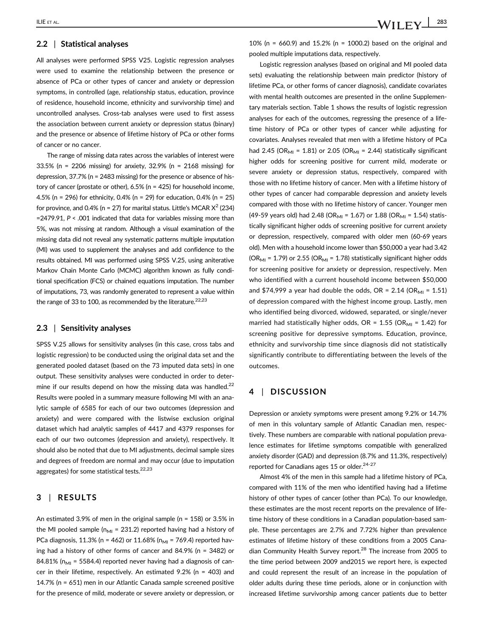## 2.2 | Statistical analyses

All analyses were performed SPSS V25. Logistic regression analyses were used to examine the relationship between the presence or absence of PCa or other types of cancer and anxiety or depression symptoms, in controlled (age, relationship status, education, province of residence, household income, ethnicity and survivorship time) and uncontrolled analyses. Cross-tab analyses were used to first assess the association between current anxiety or depression status (binary) and the presence or absence of lifetime history of PCa or other forms of cancer or no cancer.

The range of missing data rates across the variables of interest were 33.5% (n = 2206 missing) for anxiety, 32.9% (n = 2168 missing) for depression, 37.7% (n = 2483 missing) for the presence or absence of history of cancer (prostate or other), 6.5% (n = 425) for household income, 4.5% (n = 296) for ethnicity, 0.4% (n = 29) for education, 0.4% (n = 25) for province, and 0.4% (n = 27) for marital status. Little's MCAR  $X^2$  (234)  $=$  2479.91, P < .001 indicated that data for variables missing more than 5%, was not missing at random. Although a visual examination of the missing data did not reveal any systematic patterns multiple imputation (MI) was used to supplement the analyses and add confidence to the results obtained. MI was performed using SPSS V.25, using aniterative Markov Chain Monte Carlo (MCMC) algorithm known as fully conditional specification (FCS) or chained equations imputation. The number of imputations, 73, was randomly generated to represent a value within the range of 33 to 100, as recommended by the literature.<sup>22,23</sup>

#### 2.3 | Sensitivity analyses

SPSS V.25 allows for sensitivity analyses (in this case, cross tabs and logistic regression) to be conducted using the original data set and the generated pooled dataset (based on the 73 imputed data sets) in one output. These sensitivity analyses were conducted in order to determine if our results depend on how the missing data was handled.<sup>22</sup> Results were pooled in a summary measure following MI with an analytic sample of 6585 for each of our two outcomes (depression and anxiety) and were compared with the listwise exclusion original dataset which had analytic samples of 4417 and 4379 responses for each of our two outcomes (depression and anxiety), respectively. It should also be noted that due to MI adjustments, decimal sample sizes and degrees of freedom are normal and may occur (due to imputation aggregates) for some statistical tests.<sup>22,23</sup>

## 3 | RESULTS

An estimated 3.9% of men in the original sample (n = 158) or 3.5% in the MI pooled sample ( $n_{\text{MI}}$  = 231.2) reported having had a history of PCa diagnosis, 11.3% (n = 462) or 11.68% (n<sub>MI</sub> = 769.4) reported having had a history of other forms of cancer and 84.9% (n = 3482) or 84.81% ( $n_{\text{MI}}$  = 5584.4) reported never having had a diagnosis of cancer in their lifetime, respectively. An estimated 9.2% (n = 403) and 14.7% (n = 651) men in our Atlantic Canada sample screened positive for the presence of mild, moderate or severe anxiety or depression, or 10% (n = 660.9) and 15.2% (n = 1000.2) based on the original and pooled multiple imputations data, respectively.

Logistic regression analyses (based on original and MI pooled data sets) evaluating the relationship between main predictor (history of lifetime PCa, or other forms of cancer diagnosis), candidate covariates with mental health outcomes are presented in the online Supplementary materials section. Table 1 shows the results of logistic regression analyses for each of the outcomes, regressing the presence of a lifetime history of PCa or other types of cancer while adjusting for covariates. Analyses revealed that men with a lifetime history of PCa had 2.45 (OR<sub>MI</sub> = 1.81) or 2.05 (OR<sub>MI</sub> = 2.44) statistically significant higher odds for screening positive for current mild, moderate or severe anxiety or depression status, respectively, compared with those with no lifetime history of cancer. Men with a lifetime history of other types of cancer had comparable depression and anxiety levels compared with those with no lifetime history of cancer. Younger men (49-59 years old) had 2.48 (OR<sub>MI</sub> = 1.67) or 1.88 (OR<sub>MI</sub> = 1.54) statistically significant higher odds of screening positive for current anxiety or depression, respectively, compared with older men (60-69 years old). Men with a household income lower than \$50,000 a year had 3.42 (OR<sub>MI</sub> = 1.79) or 2.55 (OR<sub>MI</sub> = 1.78) statistically significant higher odds for screening positive for anxiety or depression, respectively. Men who identified with a current household income between \$50,000 and \$74,999 a year had double the odds, OR =  $2.14$  (OR<sub>MI</sub> =  $1.51$ ) of depression compared with the highest income group. Lastly, men who identified being divorced, widowed, separated, or single/never married had statistically higher odds, OR = 1.55 (OR<sub>MI</sub> = 1.42) for screening positive for depressive symptoms. Education, province, ethnicity and survivorship time since diagnosis did not statistically significantly contribute to differentiating between the levels of the outcomes.

## 4 | DISCUSSION

Depression or anxiety symptoms were present among 9.2% or 14.7% of men in this voluntary sample of Atlantic Canadian men, respectively. These numbers are comparable with national population prevalence estimates for lifetime symptoms compatible with generalized anxiety disorder (GAD) and depression (8.7% and 11.3%, respectively) reported for Canadians ages 15 or older.<sup>24-27</sup>

Almost 4% of the men in this sample had a lifetime history of PCa, compared with 11% of the men who identified having had a lifetime history of other types of cancer (other than PCa). To our knowledge, these estimates are the most recent reports on the prevalence of lifetime history of these conditions in a Canadian population-based sample. These percentages are 2.7% and 7.72% higher than prevalence estimates of lifetime history of these conditions from a 2005 Canadian Community Health Survey report.<sup>28</sup> The increase from 2005 to the time period between 2009 and2015 we report here, is expected and could represent the result of an increase in the population of older adults during these time periods, alone or in conjunction with increased lifetime survivorship among cancer patients due to better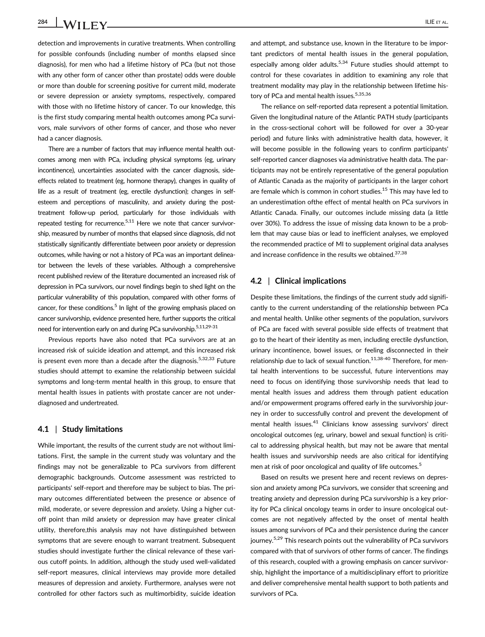detection and improvements in curative treatments. When controlling for possible confounds (including number of months elapsed since diagnosis), for men who had a lifetime history of PCa (but not those with any other form of cancer other than prostate) odds were double or more than double for screening positive for current mild, moderate or severe depression or anxiety symptoms, respectively, compared with those with no lifetime history of cancer. To our knowledge, this is the first study comparing mental health outcomes among PCa survivors, male survivors of other forms of cancer, and those who never had a cancer diagnosis.

There are a number of factors that may influence mental health outcomes among men with PCa, including physical symptoms (eg, urinary incontinence), uncertainties associated with the cancer diagnosis, sideeffects related to treatment (eg, hormone therapy), changes in quality of life as a result of treatment (eg, erectile dysfunction); changes in selfesteem and perceptions of masculinity, and anxiety during the posttreatment follow-up period, particularly for those individuals with repeated testing for recurrence. $5,11$  Here we note that cancer survivorship, measured by number of months that elapsed since diagnosis, did not statistically significantly differentiate between poor anxiety or depression outcomes, while having or not a history of PCa was an important delineator between the levels of these variables. Although a comprehensive recent published review of the literature documented an increased risk of depression in PCa survivors, our novel findings begin to shed light on the particular vulnerability of this population, compared with other forms of cancer, for these conditions.<sup>5</sup> In light of the growing emphasis placed on cancer survivorship, evidence presented here, further supports the critical need for intervention early on and during PCa survivorship.<sup>5,11,29-31</sup>

Previous reports have also noted that PCa survivors are at an increased risk of suicide ideation and attempt, and this increased risk is present even more than a decade after the diagnosis.<sup>5,32,33</sup> Future studies should attempt to examine the relationship between suicidal symptoms and long-term mental health in this group, to ensure that mental health issues in patients with prostate cancer are not underdiagnosed and undertreated.

#### 4.1 | Study limitations

While important, the results of the current study are not without limitations. First, the sample in the current study was voluntary and the findings may not be generalizable to PCa survivors from different demographic backgrounds. Outcome assessment was restricted to participants' self-report and therefore may be subject to bias. The primary outcomes differentiated between the presence or absence of mild, moderate, or severe depression and anxiety. Using a higher cutoff point than mild anxiety or depression may have greater clinical utility, therefore,this analysis may not have distinguished between symptoms that are severe enough to warrant treatment. Subsequent studies should investigate further the clinical relevance of these various cutoff points. In addition, although the study used well-validated self-report measures, clinical interviews may provide more detailed measures of depression and anxiety. Furthermore, analyses were not controlled for other factors such as multimorbidity, suicide ideation

and attempt, and substance use, known in the literature to be important predictors of mental health issues in the general population, especially among older adults.<sup>5,34</sup> Future studies should attempt to control for these covariates in addition to examining any role that treatment modality may play in the relationship between lifetime history of PCa and mental health issues.<sup>5,35,36</sup>

The reliance on self-reported data represent a potential limitation. Given the longitudinal nature of the Atlantic PATH study (participants in the cross-sectional cohort will be followed for over a 30-year period) and future links with administrative health data, however, it will become possible in the following years to confirm participants' self-reported cancer diagnoses via administrative health data. The participants may not be entirely representative of the general population of Atlantic Canada as the majority of participants in the larger cohort are female which is common in cohort studies.<sup>15</sup> This may have led to an underestimation ofthe effect of mental health on PCa survivors in Atlantic Canada. Finally, our outcomes include missing data (a little over 30%). To address the issue of missing data known to be a problem that may cause bias or lead to inefficient analyses, we employed the recommended practice of MI to supplement original data analyses and increase confidence in the results we obtained.<sup>37,38</sup>

## 4.2 | Clinical implications

Despite these limitations, the findings of the current study add significantly to the current understanding of the relationship between PCa and mental health. Unlike other segments of the population, survivors of PCa are faced with several possible side effects of treatment that go to the heart of their identity as men, including erectile dysfunction, urinary incontinence, bowel issues, or feeling disconnected in their relationship due to lack of sexual function. $11,38-40$  Therefore, for mental health interventions to be successful, future interventions may need to focus on identifying those survivorship needs that lead to mental health issues and address them through patient education and/or empowerment programs offered early in the survivorship journey in order to successfully control and prevent the development of mental health issues.<sup>41</sup> Clinicians know assessing survivors' direct oncological outcomes (eg, urinary, bowel and sexual function) is critical to addressing physical health, but may not be aware that mental health issues and survivorship needs are also critical for identifying men at risk of poor oncological and quality of life outcomes.<sup>5</sup>

Based on results we present here and recent reviews on depression and anxiety among PCa survivors, we consider that screening and treating anxiety and depression during PCa survivorship is a key priority for PCa clinical oncology teams in order to insure oncological outcomes are not negatively affected by the onset of mental health issues among survivors of PCa and their persistence during the cancer journey.<sup>5,29</sup> This research points out the vulnerability of PCa survivors compared with that of survivors of other forms of cancer. The findings of this research, coupled with a growing emphasis on cancer survivorship, highlight the importance of a multidisciplinary effort to prioritize and deliver comprehensive mental health support to both patients and survivors of PCa.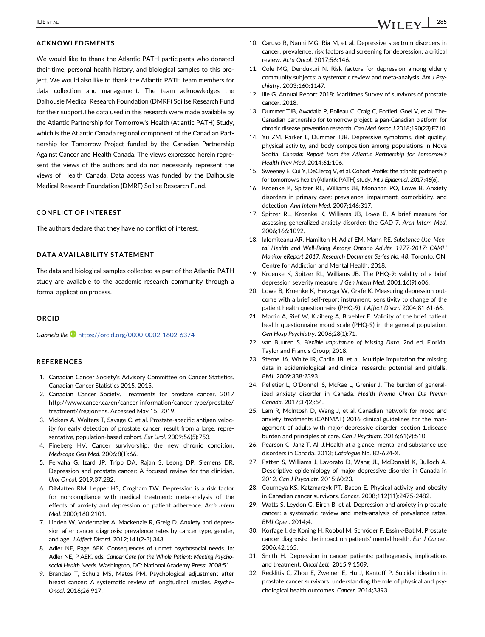#### ACKNOWLEDGMENTS

We would like to thank the Atlantic PATH participants who donated their time, personal health history, and biological samples to this project. We would also like to thank the Atlantic PATH team members for data collection and management. The team acknowledges the Dalhousie Medical Research Foundation (DMRF) Soillse Research Fund for their support.The data used in this research were made available by the Atlantic Partnership for Tomorrow's Health (Atlantic PATH) Study, which is the Atlantic Canada regional component of the Canadian Partnership for Tomorrow Project funded by the Canadian Partnership Against Cancer and Health Canada. The views expressed herein represent the views of the authors and do not necessarily represent the views of Health Canada. Data access was funded by the Dalhousie Medical Research Foundation (DMRF) Soillse Research Fund.

## CONFLICT OF INTEREST

The authors declare that they have no conflict of interest.

#### DATA AVAILABILITY STATEMENT

The data and biological samples collected as part of the Atlantic PATH study are available to the academic research community through a formal application process.

#### ORCID

Gabriela Ilie <https://orcid.org/0000-0002-1602-6374>

#### **REFERENCES**

- 1. Canadian Cancer Society's Advisory Committee on Cancer Statistics. Canadian Cancer Statistics 2015. 2015.
- 2. Canadian Cancer Society. Treatments for prostate cancer. 2017 [http://www.cancer.ca/en/cancer-information/cancer-type/prostate/](http://www.cancer.ca/en/cancer-information/cancer-type/prostate/treatment/?region=ns) [treatment/?region=ns](http://www.cancer.ca/en/cancer-information/cancer-type/prostate/treatment/?region=ns). Accessed May 15, 2019.
- 3. Vickers A, Wolters T, Savage C, et al. Prostate-specific antigen velocity for early detection of prostate cancer: result from a large, representative, population-based cohort. Eur Urol. 2009;56(5):753.
- 4. Fineberg HV. Cancer survivorship: the new chronic condition. Medscape Gen Med. 2006;8(1):66.
- 5. Fervaha G, Izard JP, Tripp DA, Rajan S, Leong DP, Siemens DR. Depression and prostate cancer: A focused review for the clinician. Urol Oncol. 2019;37:282.
- 6. DiMatteo RM, Lepper HS, Crogham TW. Depression is a risk factor for noncompliance with medical treatment: meta-analysis of the effects of anxiety and depression on patient adherence. Arch Intern Med. 2000;160:2101.
- 7. Linden W, Vodermaier A, Mackenzie R, Greig D. Anxiety and depression after cancer diagnosis: prevalence rates by cancer type, gender, and age. J Affect Disord. 2012;141(2-3):343.
- 8. Adler NE, Page AEK. Consequences of unmet psychosocial needs. In: Adler NE, P AEK, eds. Cancer Care for the Whole Patient: Meeting Psychosocial Health Needs. Washington, DC: National Academy Press; 2008:51.
- 9. Brandao T, Schulz MS, Matos PM. Psychological adjustment after breast cancer: A systematic review of longitudinal studies. Psycho-Oncol. 2016;26:917.
- 10. Caruso R, Nanni MG, Ria M, et al. Depressive spectrum disorders in cancer: prevalence, risk factors and screening for depression: a critical review. Acta Oncol. 2017;56:146.
- 11. Cole MG, Dendukuri N. Risk factors for depression among elderly community subjects: a systematic review and meta-analysis. Am J Psychiatry. 2003;160:1147.
- 12. Ilie G. Annual Report 2018: Maritimes Survey of survivors of prostate cancer. 2018.
- 13. Dummer TJB, Awadalla P, Boileau C, Craig C, FortierI, Goel V, et al. The-Canadian partnership for tomorrow project: a pan-Canadian platform for chronic disease prevention research. Can Med Assoc J 2018;190(23):E710.
- 14. Yu ZM, Parker L, Dummer TJB. Depressive symptoms, diet quality, physical activity, and body composition among populations in Nova Scotia. Canada: Report from the Atlantic Partnership for Tomorrow's Health Prev Med. 2014;61:106.
- 15. Sweeney E, Cui Y, DeClercq V, et al. Cohort Profile: the atlantic partnership for tomorrow's health (Atlantic PATH) study. Int J Epidemiol. 2017;46(6).
- 16. Kroenke K, Spitzer RL, Williams JB, Monahan PO, Lowe B. Anxiety disorders in primary care: prevalence, impairment, comorbidity, and detection. Ann Intern Med. 2007;146:317.
- 17. Spitzer RL, Kroenke K, Williams JB, Lowe B. A brief measure for assessing generalized anxiety disorder: the GAD-7. Arch Intern Med. 2006;166:1092.
- 18. Ialomiteanu AR, Hamilton H, Adlaf EM, Mann RE. Substance Use, Mental Health and Well-Being Among Ontario Adults, 1977-2017: CAMH Monitor eReport 2017. Research Document Series No. 48. Toronto, ON: Centre for Addiction and Mental Health; 2018.
- 19. Kroenke K, Spitzer RL, Williams JB. The PHQ-9: validity of a brief depression severity measure. J Gen Intern Med. 2001;16(9):606.
- 20. Lowe B, Kroenke K, Herzoga W, Grafe K. Measuring depression outcome with a brief self-report instrument: sensitivity to change of the patient health questionnaire (PHQ-9). J Affect Disord 2004;81 61-66.
- 21. Martin A, Rief W, Klaiberg A, Braehler E. Validity of the brief patient health questionnaire mood scale (PHQ-9) in the general population. Gen Hosp Psychiatry. 2006;28(1):71.
- 22. van Buuren S. Flexible Imputation of Missing Data. 2nd ed. Florida: Taylor and Francis Group; 2018.
- 23. Sterne JA, White IR, Carlin JB, et al. Multiple imputation for missing data in epidemiological and clinical research: potential and pitfalls. BMJ. 2009;338:2393.
- 24. Pelletier L, O'Donnell S, McRae L, Grenier J. The burden of generalized anxiety disorder in Canada. Health Promo Chron Dis Preven Canada. 2017;37(2):54.
- 25. Lam R, McIntosh D, Wang J, et al. Canadian network for mood and anxiety treatments (CANMAT) 2016 clinical guidelines for the management of adults with major depressive disorder: section 1.disease burden and principles of care. Can J Psychiatr. 2016;61(9):510.
- 26. Pearson C, Janz T, Ali J.Health at a glance: mental and substance use disorders in Canada. 2013; Catalogue No. 82-624-X.
- 27. Patten S, Williams J, Lavorato D, Wang JL, McDonald K, Bulloch A. Descriptive epidemiology of major depressive disorder in Canada in 2012. Can J Psychiatr. 2015;60:23.
- 28. Courneya KS, Katzmarzyk PT, Bacon E. Physical activity and obesity in Canadian cancer survivors. Cancer. 2008;112(11):2475-2482.
- 29. Watts S, Leydon G, Birch B, et al. Depression and anxiety in prostate cancer: a systematic review and meta-analysis of prevalence rates. BMJ Open. 2014;4.
- 30. Korfage I, de Koning H, Roobol M, Schröder F, Essink-Bot M. Prostate cancer diagnosis: the impact on patients' mental health. Eur J Cancer. 2006;42:165.
- 31. Smith H. Depression in cancer patients: pathogenesis, implications and treatment. Oncol Lett. 2015;9:1509.
- 32. Recklitis C, Zhou E, Zwemer E, Hu J, Kantoff P. Suicidal ideation in prostate cancer survivors: understanding the role of physical and psychological health outcomes. Cancer. 2014;3393.